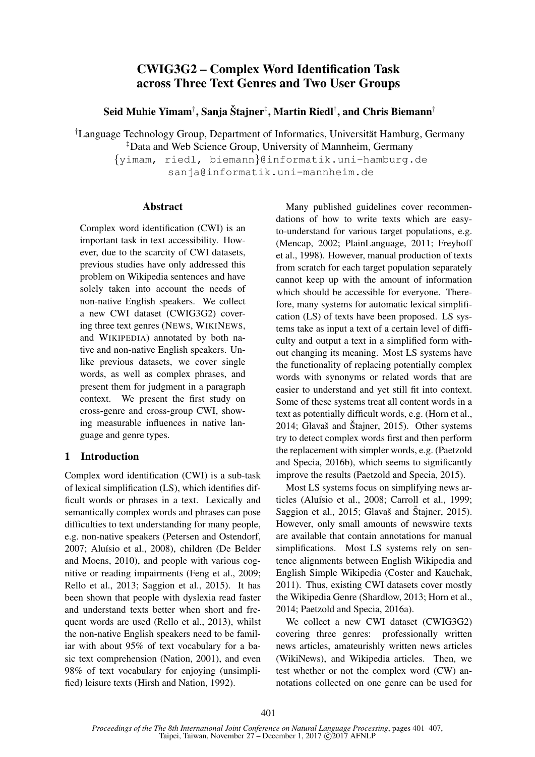# CWIG3G2 – Complex Word Identification Task across Three Text Genres and Two User Groups

Seid Muhie Yimam†, Sanja Štajner‡, Martin Riedl†, and Chris Biemann†

 $\dagger$ Language Technology Group, Department of Informatics, Universität Hamburg, Germany ‡Data and Web Science Group, University of Mannheim, Germany

{yimam, riedl, biemann}@informatik.uni-hamburg.de

sanja@informatik.uni-mannheim.de

### Abstract

Complex word identification (CWI) is an important task in text accessibility. However, due to the scarcity of CWI datasets, previous studies have only addressed this problem on Wikipedia sentences and have solely taken into account the needs of non-native English speakers. We collect a new CWI dataset (CWIG3G2) covering three text genres (NEWS, WIKINEWS, and WIKIPEDIA) annotated by both native and non-native English speakers. Unlike previous datasets, we cover single words, as well as complex phrases, and present them for judgment in a paragraph context. We present the first study on cross-genre and cross-group CWI, showing measurable influences in native language and genre types.

## 1 Introduction

Complex word identification (CWI) is a sub-task of lexical simplification (LS), which identifies difficult words or phrases in a text. Lexically and semantically complex words and phrases can pose difficulties to text understanding for many people, e.g. non-native speakers (Petersen and Ostendorf, 2007; Aluísio et al., 2008), children (De Belder and Moens, 2010), and people with various cognitive or reading impairments (Feng et al., 2009; Rello et al., 2013; Saggion et al., 2015). It has been shown that people with dyslexia read faster and understand texts better when short and frequent words are used (Rello et al., 2013), whilst the non-native English speakers need to be familiar with about 95% of text vocabulary for a basic text comprehension (Nation, 2001), and even 98% of text vocabulary for enjoying (unsimplified) leisure texts (Hirsh and Nation, 1992).

Many published guidelines cover recommendations of how to write texts which are easyto-understand for various target populations, e.g. (Mencap, 2002; PlainLanguage, 2011; Freyhoff et al., 1998). However, manual production of texts from scratch for each target population separately cannot keep up with the amount of information which should be accessible for everyone. Therefore, many systems for automatic lexical simplification (LS) of texts have been proposed. LS systems take as input a text of a certain level of difficulty and output a text in a simplified form without changing its meaning. Most LS systems have the functionality of replacing potentially complex words with synonyms or related words that are easier to understand and yet still fit into context. Some of these systems treat all content words in a text as potentially difficult words, e.g. (Horn et al.,  $2014$ ; Glavaš and Štajner, 2015). Other systems try to detect complex words first and then perform the replacement with simpler words, e.g. (Paetzold and Specia, 2016b), which seems to significantly improve the results (Paetzold and Specia, 2015).

Most LS systems focus on simplifying news articles (Aluísio et al., 2008; Carroll et al., 1999; Saggion et al.,  $2015$ ; Glavaš and Štajner,  $2015$ ). However, only small amounts of newswire texts are available that contain annotations for manual simplifications. Most LS systems rely on sentence alignments between English Wikipedia and English Simple Wikipedia (Coster and Kauchak, 2011). Thus, existing CWI datasets cover mostly the Wikipedia Genre (Shardlow, 2013; Horn et al., 2014; Paetzold and Specia, 2016a).

We collect a new CWI dataset (CWIG3G2) covering three genres: professionally written news articles, amateurishly written news articles (WikiNews), and Wikipedia articles. Then, we test whether or not the complex word (CW) annotations collected on one genre can be used for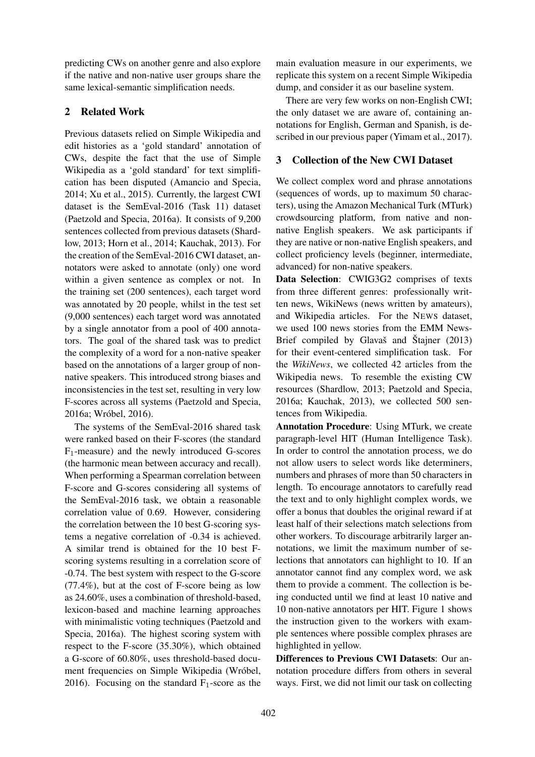predicting CWs on another genre and also explore if the native and non-native user groups share the same lexical-semantic simplification needs.

### 2 Related Work

Previous datasets relied on Simple Wikipedia and edit histories as a 'gold standard' annotation of CWs, despite the fact that the use of Simple Wikipedia as a 'gold standard' for text simplification has been disputed (Amancio and Specia, 2014; Xu et al., 2015). Currently, the largest CWI dataset is the SemEval-2016 (Task 11) dataset (Paetzold and Specia, 2016a). It consists of 9,200 sentences collected from previous datasets (Shardlow, 2013; Horn et al., 2014; Kauchak, 2013). For the creation of the SemEval-2016 CWI dataset, annotators were asked to annotate (only) one word within a given sentence as complex or not. In the training set (200 sentences), each target word was annotated by 20 people, whilst in the test set (9,000 sentences) each target word was annotated by a single annotator from a pool of 400 annotators. The goal of the shared task was to predict the complexity of a word for a non-native speaker based on the annotations of a larger group of nonnative speakers. This introduced strong biases and inconsistencies in the test set, resulting in very low F-scores across all systems (Paetzold and Specia, 2016a; Wróbel, 2016).

The systems of the SemEval-2016 shared task were ranked based on their F-scores (the standard F1-measure) and the newly introduced G-scores (the harmonic mean between accuracy and recall). When performing a Spearman correlation between F-score and G-scores considering all systems of the SemEval-2016 task, we obtain a reasonable correlation value of 0.69. However, considering the correlation between the 10 best G-scoring systems a negative correlation of -0.34 is achieved. A similar trend is obtained for the 10 best Fscoring systems resulting in a correlation score of -0.74. The best system with respect to the G-score (77.4%), but at the cost of F-score being as low as 24.60%, uses a combination of threshold-based, lexicon-based and machine learning approaches with minimalistic voting techniques (Paetzold and Specia, 2016a). The highest scoring system with respect to the F-score (35.30%), which obtained a G-score of 60.80%, uses threshold-based document frequencies on Simple Wikipedia (Wróbel, 2016). Focusing on the standard  $F_1$ -score as the

main evaluation measure in our experiments, we replicate this system on a recent Simple Wikipedia dump, and consider it as our baseline system.

There are very few works on non-English CWI; the only dataset we are aware of, containing annotations for English, German and Spanish, is described in our previous paper (Yimam et al., 2017).

### 3 Collection of the New CWI Dataset

We collect complex word and phrase annotations (sequences of words, up to maximum 50 characters), using the Amazon Mechanical Turk (MTurk) crowdsourcing platform, from native and nonnative English speakers. We ask participants if they are native or non-native English speakers, and collect proficiency levels (beginner, intermediate, advanced) for non-native speakers.

Data Selection: CWIG3G2 comprises of texts from three different genres: professionally written news, WikiNews (news written by amateurs), and Wikipedia articles. For the NEWS dataset, we used 100 news stories from the EMM News-Brief compiled by Glavaš and Stajner  $(2013)$ for their event-centered simplification task. For the *WikiNews*, we collected 42 articles from the Wikipedia news. To resemble the existing CW resources (Shardlow, 2013; Paetzold and Specia, 2016a; Kauchak, 2013), we collected 500 sentences from Wikipedia.

Annotation Procedure: Using MTurk, we create paragraph-level HIT (Human Intelligence Task). In order to control the annotation process, we do not allow users to select words like determiners, numbers and phrases of more than 50 characters in length. To encourage annotators to carefully read the text and to only highlight complex words, we offer a bonus that doubles the original reward if at least half of their selections match selections from other workers. To discourage arbitrarily larger annotations, we limit the maximum number of selections that annotators can highlight to 10. If an annotator cannot find any complex word, we ask them to provide a comment. The collection is being conducted until we find at least 10 native and 10 non-native annotators per HIT. Figure 1 shows the instruction given to the workers with example sentences where possible complex phrases are highlighted in yellow.

Differences to Previous CWI Datasets: Our annotation procedure differs from others in several ways. First, we did not limit our task on collecting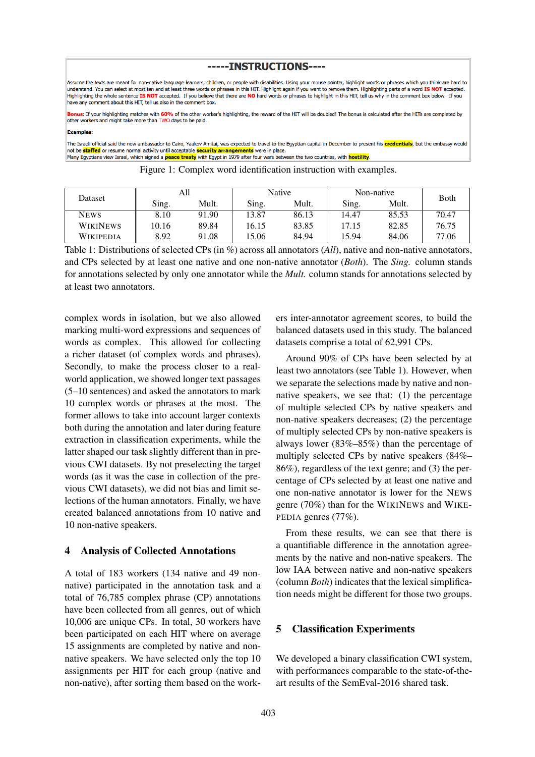#### -----INSTRUCTIONS----

Assume the texts are meant for non-native language learners, children, or people with disabilities. Using your mouse pointer, highlight words or phrases which you think are hard to understand. You can select at most ten and at least three words or phrases in this HIT. Highlight again if you want to remove them. Highlighting parts of a word IS NOT accepted Highlighting the whole sentence IS NOT accepted. If you believe that there are NO hard words or phrases to highlight in this HIT, tell us why in the comment box below. If you have any comment about this HIT, tell us also in the comment box.

Bonus: If your highlighting matches with 60% of the other worker's highlighting, the reward of the HIT will be doubled! The bonus is calculated after the HITs are completed by other workers and might take more than TWO days to be paid.

#### **Examples**

The Israeli official said the new ambassador to Cairo, Yaakov Amitai, was expected to travel to the Egyptian capital in December to present his credentials, but the embassy would not be **staffed** or resume normal activity until acceptable **security arrangements** were in place Many Egyptians view Israel, which signed a **peace treaty** with Egypt in 1979 after four wars between the two countries, with **hostility**.

| Dataset          | All   |       | Native |       | Non-native |       | Both  |
|------------------|-------|-------|--------|-------|------------|-------|-------|
|                  | Sing. | Mult. | Sing.  | Mult. | Sing.      | Mult. |       |
| <b>NEWS</b>      | 8.10  | 91.90 | 13.87  | 86.13 | 14.47      | 85.53 | 70.47 |
| <b>WIKINEWS</b>  | 10.16 | 89.84 | 16.15  | 83.85 | 17.15      | 82.85 | 76.75 |
| <b>WIKIPEDIA</b> | 8.92  | 91.08 | 15.06  | 84.94 | 5.94       | 84.06 | 77.06 |

Figure 1: Complex word identification instruction with examples.

Table 1: Distributions of selected CPs (in %) across all annotators (*All*), native and non-native annotators, and CPs selected by at least one native and one non-native annotator (*Both*). The *Sing.* column stands for annotations selected by only one annotator while the *Mult.* column stands for annotations selected by at least two annotators.

complex words in isolation, but we also allowed marking multi-word expressions and sequences of words as complex. This allowed for collecting a richer dataset (of complex words and phrases). Secondly, to make the process closer to a realworld application, we showed longer text passages (5–10 sentences) and asked the annotators to mark 10 complex words or phrases at the most. The former allows to take into account larger contexts both during the annotation and later during feature extraction in classification experiments, while the latter shaped our task slightly different than in previous CWI datasets. By not preselecting the target words (as it was the case in collection of the previous CWI datasets), we did not bias and limit selections of the human annotators. Finally, we have created balanced annotations from 10 native and 10 non-native speakers.

#### 4 Analysis of Collected Annotations

A total of 183 workers (134 native and 49 nonnative) participated in the annotation task and a total of 76,785 complex phrase (CP) annotations have been collected from all genres, out of which 10,006 are unique CPs. In total, 30 workers have been participated on each HIT where on average 15 assignments are completed by native and nonnative speakers. We have selected only the top 10 assignments per HIT for each group (native and non-native), after sorting them based on the work-

ers inter-annotator agreement scores, to build the balanced datasets used in this study. The balanced datasets comprise a total of 62,991 CPs.

Around 90% of CPs have been selected by at least two annotators (see Table 1). However, when we separate the selections made by native and nonnative speakers, we see that: (1) the percentage of multiple selected CPs by native speakers and non-native speakers decreases; (2) the percentage of multiply selected CPs by non-native speakers is always lower (83%–85%) than the percentage of multiply selected CPs by native speakers (84%– 86%), regardless of the text genre; and (3) the percentage of CPs selected by at least one native and one non-native annotator is lower for the NEWS genre (70%) than for the WIKINEWS and WIKE-PEDIA genres (77%).

From these results, we can see that there is a quantifiable difference in the annotation agreements by the native and non-native speakers. The low IAA between native and non-native speakers (column *Both*) indicates that the lexical simplification needs might be different for those two groups.

#### 5 Classification Experiments

We developed a binary classification CWI system, with performances comparable to the state-of-theart results of the SemEval-2016 shared task.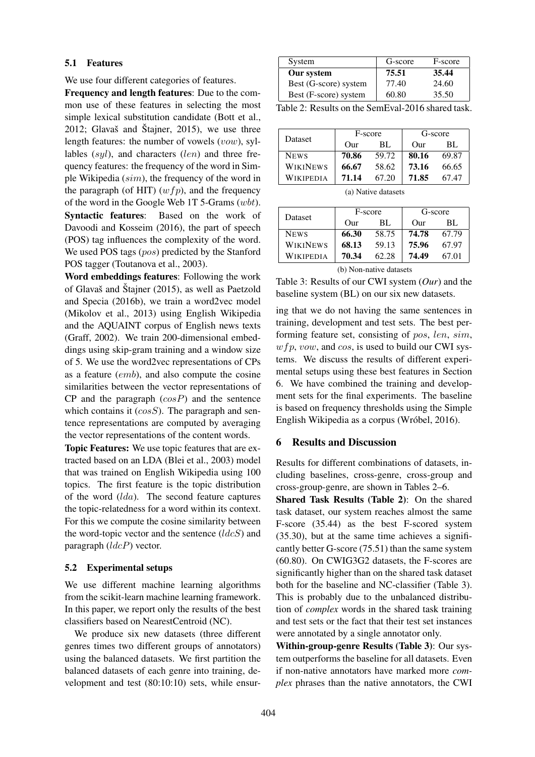#### 5.1 Features

We use four different categories of features.

Frequency and length features: Due to the common use of these features in selecting the most simple lexical substitution candidate (Bott et al.,  $2012$ ; Glavaš and Štajner,  $2015$ ), we use three length features: the number of vowels (vow), syllables  $(syl)$ , and characters  $(len)$  and three frequency features: the frequency of the word in Simple Wikipedia (sim), the frequency of the word in the paragraph (of HIT)  $(wfp)$ , and the frequency of the word in the Google Web 1T 5-Grams (wbt). Syntactic features: Based on the work of Davoodi and Kosseim (2016), the part of speech (POS) tag influences the complexity of the word. We used POS tags (pos) predicted by the Stanford POS tagger (Toutanova et al., 2003).

Word embeddings features: Following the work of Glavaš and Štajner  $(2015)$ , as well as Paetzold and Specia (2016b), we train a word2vec model (Mikolov et al., 2013) using English Wikipedia and the AQUAINT corpus of English news texts (Graff, 2002). We train 200-dimensional embeddings using skip-gram training and a window size of 5. We use the word2vec representations of CPs as a feature (emb), and also compute the cosine similarities between the vector representations of  $CP$  and the paragraph  $(cosP)$  and the sentence which contains it  $(cosS)$ . The paragraph and sentence representations are computed by averaging the vector representations of the content words.

Topic Features: We use topic features that are extracted based on an LDA (Blei et al., 2003) model that was trained on English Wikipedia using 100 topics. The first feature is the topic distribution of the word  $(lda)$ . The second feature captures the topic-relatedness for a word within its context. For this we compute the cosine similarity between the word-topic vector and the sentence  $(ldcS)$  and paragraph  $(ldcP)$  vector.

#### 5.2 Experimental setups

We use different machine learning algorithms from the scikit-learn machine learning framework. In this paper, we report only the results of the best classifiers based on NearestCentroid (NC).

We produce six new datasets (three different genres times two different groups of annotators) using the balanced datasets. We first partition the balanced datasets of each genre into training, development and test (80:10:10) sets, while ensur-

| System                | G-score | F-score |
|-----------------------|---------|---------|
| Our system            | 75.51   | 35.44   |
| Best (G-score) system | 77.40   | 24.60   |
| Best (F-score) system | 60.80   | 35.50   |

Table 2: Results on the SemEval-2016 shared task.

| <b>Dataset</b>   | F-score      |       | G-score      |       |
|------------------|--------------|-------|--------------|-------|
|                  | $_{\rm Our}$ | BL.   | $_{\rm Our}$ | BL.   |
| <b>NEWS</b>      | 70.86        | 59.72 | 80.16        | 69.87 |
| <b>WIKINEWS</b>  | 66.67        | 58.62 | 73.16        | 66.65 |
| <b>WIKIPEDIA</b> | 71.14        | 67.20 | 71.85        | 67 47 |

(a) Native datasets

|             | F-score      |       | G-score      |       |
|-------------|--------------|-------|--------------|-------|
| Dataset     | $_{\rm Our}$ | BL    | $_{\rm Our}$ | BL.   |
| <b>NEWS</b> | 66.30        | 58.75 | 74.78        | 67.79 |
| WIKINEWS    | 68.13        | 59.13 | 75.96        | 67.97 |
| WIKIPEDIA   | 70.34        | 62.28 | 74.49        | 67 01 |

(b) Non-native datasets

Table 3: Results of our CWI system (*Our*) and the baseline system (BL) on our six new datasets.

ing that we do not having the same sentences in training, development and test sets. The best performing feature set, consisting of pos, len, sim,  $wfp$ , vow, and cos, is used to build our CWI systems. We discuss the results of different experimental setups using these best features in Section 6. We have combined the training and development sets for the final experiments. The baseline is based on frequency thresholds using the Simple English Wikipedia as a corpus (Wróbel, 2016).

#### 6 Results and Discussion

Results for different combinations of datasets, including baselines, cross-genre, cross-group and cross-group-genre, are shown in Tables 2–6.

Shared Task Results (Table 2): On the shared task dataset, our system reaches almost the same F-score (35.44) as the best F-scored system (35.30), but at the same time achieves a significantly better G-score (75.51) than the same system (60.80). On CWIG3G2 datasets, the F-scores are significantly higher than on the shared task dataset both for the baseline and NC-classifier (Table 3). This is probably due to the unbalanced distribution of *complex* words in the shared task training and test sets or the fact that their test set instances were annotated by a single annotator only.

Within-group-genre Results (Table 3): Our system outperforms the baseline for all datasets. Even if non-native annotators have marked more *complex* phrases than the native annotators, the CWI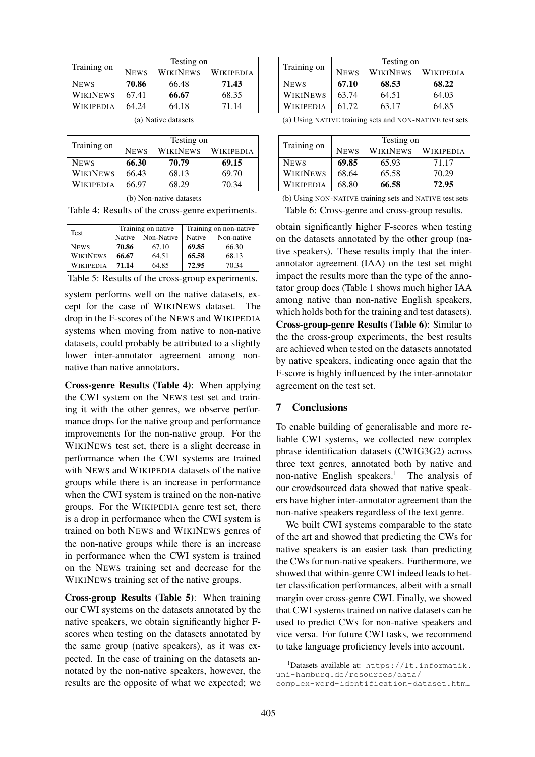| Training on     |             | Testing on |                    |  |  |
|-----------------|-------------|------------|--------------------|--|--|
|                 | <b>NEWS</b> |            | WIKINEWS WIKIPEDIA |  |  |
| <b>NEWS</b>     | 70.86       | 66.48      | 71.43              |  |  |
| <b>WIKINEWS</b> | 67.41       | 66.67      | 68.35              |  |  |
| WIKIPEDIA       | 64.24       | 64.18      | 71.14              |  |  |

(a) Native datasets

|                 | Testing on  |                 |                  |  |
|-----------------|-------------|-----------------|------------------|--|
| Training on     | <b>NEWS</b> | <b>WIKINEWS</b> | <b>WIKIPEDIA</b> |  |
| <b>NEWS</b>     | 66.30       | 70.79           | 69.15            |  |
| <b>WIKINEWS</b> | 66.43       | 68.13           | 69.70            |  |
| WIKIPEDIA       | 66.97       | 68.29           | 70.34            |  |

| (b) Non-native datasets |  |
|-------------------------|--|
|-------------------------|--|

Table 4: Results of the cross-genre experiments.

| Test            |       | Training on native | Training on non-native |            |
|-----------------|-------|--------------------|------------------------|------------|
|                 |       | Native Non-Native  | <b>Native</b>          | Non-native |
| <b>NEWS</b>     | 70.86 | 67.10              | 69.85                  | 66.30      |
| <b>WIKINEWS</b> | 66.67 | 64.51              | 65.58                  | 68.13      |
| WIKIPEDIA       | 71.14 | 64.85              | 72.95                  | 70.34      |

Table 5: Results of the cross-group experiments.

system performs well on the native datasets, except for the case of WIKINEWS dataset. The drop in the F-scores of the NEWS and WIKIPEDIA systems when moving from native to non-native datasets, could probably be attributed to a slightly lower inter-annotator agreement among nonnative than native annotators.

Cross-genre Results (Table 4): When applying the CWI system on the NEWS test set and training it with the other genres, we observe performance drops for the native group and performance improvements for the non-native group. For the WIKINEWS test set, there is a slight decrease in performance when the CWI systems are trained with NEWS and WIKIPEDIA datasets of the native groups while there is an increase in performance when the CWI system is trained on the non-native groups. For the WIKIPEDIA genre test set, there is a drop in performance when the CWI system is trained on both NEWS and WIKINEWS genres of the non-native groups while there is an increase in performance when the CWI system is trained on the NEWS training set and decrease for the WIKINEWS training set of the native groups.

Cross-group Results (Table 5): When training our CWI systems on the datasets annotated by the native speakers, we obtain significantly higher Fscores when testing on the datasets annotated by the same group (native speakers), as it was expected. In the case of training on the datasets annotated by the non-native speakers, however, the results are the opposite of what we expected; we

|                  | Testing on  |                 |                  |  |
|------------------|-------------|-----------------|------------------|--|
| Training on      | <b>NEWS</b> | <b>WIKINEWS</b> | <b>WIKIPEDIA</b> |  |
| <b>NEWS</b>      | 67.10       | 68.53           | 68.22            |  |
| <b>WIKINEWS</b>  | 63.74       | 64.51           | 64.03            |  |
| <b>WIKIPEDIA</b> | 61.72       | 63.17           | 64.85            |  |

(a) Using NATIVE training sets and NON-NATIVE test sets

|                 | Testing on  |                 |           |  |
|-----------------|-------------|-----------------|-----------|--|
| Training on     | <b>NEWS</b> | <b>WIKINEWS</b> | WIKIPEDIA |  |
| <b>NEWS</b>     | 69.85       | 65.93           | 71.17     |  |
| <b>WIKINEWS</b> | 68.64       | 65.58           | 70.29     |  |
| Wikipedia       | 68.80       | 66.58           | 72.95     |  |

(b) Using NON-NATIVE training sets and NATIVE test sets Table 6: Cross-genre and cross-group results.

obtain significantly higher F-scores when testing on the datasets annotated by the other group (native speakers). These results imply that the interannotator agreement (IAA) on the test set might impact the results more than the type of the annotator group does (Table 1 shows much higher IAA among native than non-native English speakers, which holds both for the training and test datasets). Cross-group-genre Results (Table 6): Similar to the the cross-group experiments, the best results are achieved when tested on the datasets annotated by native speakers, indicating once again that the F-score is highly influenced by the inter-annotator agreement on the test set.

### 7 Conclusions

To enable building of generalisable and more reliable CWI systems, we collected new complex phrase identification datasets (CWIG3G2) across three text genres, annotated both by native and non-native English speakers.<sup>1</sup> The analysis of our crowdsourced data showed that native speakers have higher inter-annotator agreement than the non-native speakers regardless of the text genre.

We built CWI systems comparable to the state of the art and showed that predicting the CWs for native speakers is an easier task than predicting the CWs for non-native speakers. Furthermore, we showed that within-genre CWI indeed leads to better classification performances, albeit with a small margin over cross-genre CWI. Finally, we showed that CWI systems trained on native datasets can be used to predict CWs for non-native speakers and vice versa. For future CWI tasks, we recommend to take language proficiency levels into account.

 $^1$ Datasets available at: https://lt.informatik. uni-hamburg.de/resources/data/ complex-word-identification-dataset.html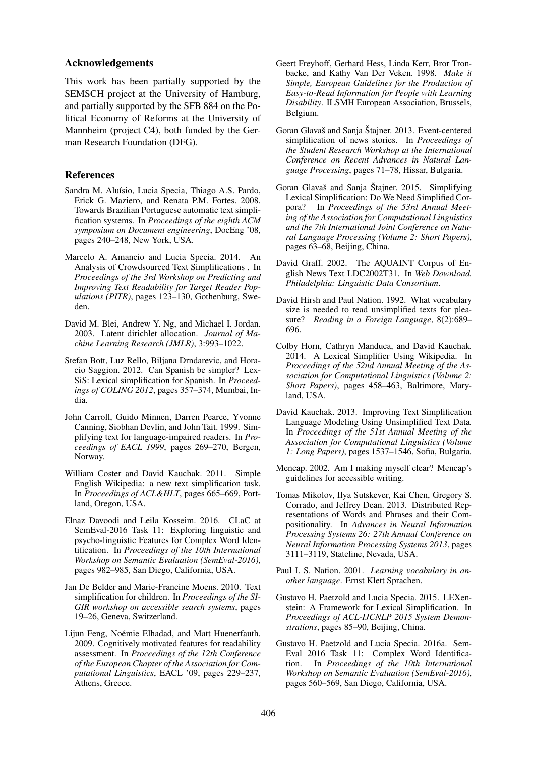#### Acknowledgements

This work has been partially supported by the SEMSCH project at the University of Hamburg, and partially supported by the SFB 884 on the Political Economy of Reforms at the University of Mannheim (project C4), both funded by the German Research Foundation (DFG).

#### References

- Sandra M. Aluísio, Lucia Specia, Thiago A.S. Pardo, Erick G. Maziero, and Renata P.M. Fortes. 2008. Towards Brazilian Portuguese automatic text simplification systems. In *Proceedings of the eighth ACM symposium on Document engineering*, DocEng '08, pages 240–248, New York, USA.
- Marcelo A. Amancio and Lucia Specia. 2014. An Analysis of Crowdsourced Text Simplifications . In *Proceedings of the 3rd Workshop on Predicting and Improving Text Readability for Target Reader Populations (PITR)*, pages 123–130, Gothenburg, Sweden.
- David M. Blei, Andrew Y. Ng, and Michael I. Jordan. 2003. Latent dirichlet allocation. *Journal of Machine Learning Research (JMLR)*, 3:993–1022.
- Stefan Bott, Luz Rello, Biljana Drndarevic, and Horacio Saggion. 2012. Can Spanish be simpler? Lex-SiS: Lexical simplification for Spanish. In *Proceedings of COLING 2012*, pages 357–374, Mumbai, India.
- John Carroll, Guido Minnen, Darren Pearce, Yvonne Canning, Siobhan Devlin, and John Tait. 1999. Simplifying text for language-impaired readers. In *Proceedings of EACL 1999*, pages 269–270, Bergen, Norway.
- William Coster and David Kauchak. 2011. Simple English Wikipedia: a new text simplification task. In *Proceedings of ACL&HLT*, pages 665–669, Portland, Oregon, USA.
- Elnaz Davoodi and Leila Kosseim. 2016. CLaC at SemEval-2016 Task 11: Exploring linguistic and psycho-linguistic Features for Complex Word Identification. In *Proceedings of the 10th International Workshop on Semantic Evaluation (SemEval-2016)*, pages 982–985, San Diego, California, USA.
- Jan De Belder and Marie-Francine Moens. 2010. Text simplification for children. In *Proceedings of the SI-GIR workshop on accessible search systems*, pages 19–26, Geneva, Switzerland.
- Lijun Feng, Noémie Elhadad, and Matt Huenerfauth. 2009. Cognitively motivated features for readability assessment. In *Proceedings of the 12th Conference of the European Chapter of the Association for Computational Linguistics*, EACL '09, pages 229–237, Athens, Greece.
- Geert Freyhoff, Gerhard Hess, Linda Kerr, Bror Tronbacke, and Kathy Van Der Veken. 1998. *Make it Simple, European Guidelines for the Production of Easy-to-Read Information for People with Learning Disability*. ILSMH European Association, Brussels, Belgium.
- Goran Glavaš and Sanja Štajner. 2013. Event-centered simplification of news stories. In *Proceedings of the Student Research Workshop at the International Conference on Recent Advances in Natural Language Processing*, pages 71–78, Hissar, Bulgaria.
- Goran Glavaš and Sanja Štajner. 2015. Simplifying Lexical Simplification: Do We Need Simplified Corpora? In *Proceedings of the 53rd Annual Meeting of the Association for Computational Linguistics and the 7th International Joint Conference on Natural Language Processing (Volume 2: Short Papers)*, pages 63–68, Beijing, China.
- David Graff. 2002. The AQUAINT Corpus of English News Text LDC2002T31. In *Web Download. Philadelphia: Linguistic Data Consortium*.
- David Hirsh and Paul Nation. 1992. What vocabulary size is needed to read unsimplified texts for pleasure? *Reading in a Foreign Language*, 8(2):689– 696.
- Colby Horn, Cathryn Manduca, and David Kauchak. 2014. A Lexical Simplifier Using Wikipedia. In *Proceedings of the 52nd Annual Meeting of the Association for Computational Linguistics (Volume 2: Short Papers)*, pages 458–463, Baltimore, Maryland, USA.
- David Kauchak. 2013. Improving Text Simplification Language Modeling Using Unsimplified Text Data. In *Proceedings of the 51st Annual Meeting of the Association for Computational Linguistics (Volume 1: Long Papers)*, pages 1537–1546, Sofia, Bulgaria.
- Mencap. 2002. Am I making myself clear? Mencap's guidelines for accessible writing.
- Tomas Mikolov, Ilya Sutskever, Kai Chen, Gregory S. Corrado, and Jeffrey Dean. 2013. Distributed Representations of Words and Phrases and their Compositionality. In *Advances in Neural Information Processing Systems 26: 27th Annual Conference on Neural Information Processing Systems 2013*, pages 3111–3119, Stateline, Nevada, USA.
- Paul I. S. Nation. 2001. *Learning vocabulary in another language*. Ernst Klett Sprachen.
- Gustavo H. Paetzold and Lucia Specia. 2015. LEXenstein: A Framework for Lexical Simplification. In *Proceedings of ACL-IJCNLP 2015 System Demonstrations*, pages 85–90, Beijing, China.
- Gustavo H. Paetzold and Lucia Specia. 2016a. Sem-Eval 2016 Task 11: Complex Word Identification. In *Proceedings of the 10th International Workshop on Semantic Evaluation (SemEval-2016)*, pages 560–569, San Diego, California, USA.